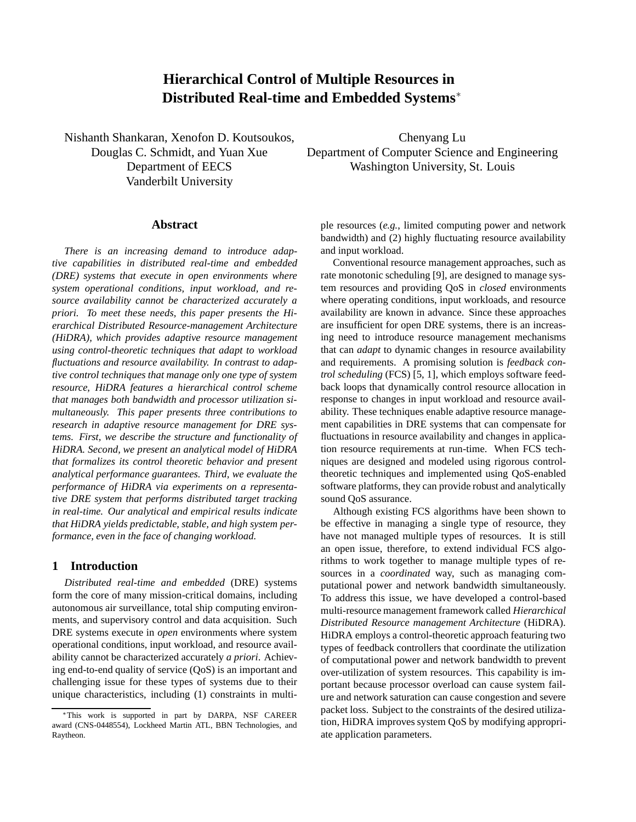# **Hierarchical Control of Multiple Resources in Distributed Real-time and Embedded Systems**<sup>∗</sup>

Nishanth Shankaran, Xenofon D. Koutsoukos, Chenyang Lu Vanderbilt University

## **Abstract**

*There is an increasing demand to introduce adaptive capabilities in distributed real-time and embedded (DRE) systems that execute in open environments where system operational conditions, input workload, and resource availability cannot be characterized accurately a priori. To meet these needs, this paper presents the Hierarchical Distributed Resource-management Architecture (HiDRA), which provides adaptive resource management using control-theoretic techniques that adapt to workload fluctuations and resource availability. In contrast to adaptive control techniques that manage only one type of system resource, HiDRA features a hierarchical control scheme that manages both bandwidth and processor utilization simultaneously. This paper presents three contributions to research in adaptive resource management for DRE systems. First, we describe the structure and functionality of HiDRA. Second, we present an analytical model of HiDRA that formalizes its control theoretic behavior and present analytical performance guarantees. Third, we evaluate the performance of HiDRA via experiments on a representative DRE system that performs distributed target tracking in real-time. Our analytical and empirical results indicate that HiDRA yields predictable, stable, and high system performance, even in the face of changing workload.*

## **1 Introduction**

*Distributed real-time and embedded* (DRE) systems form the core of many mission-critical domains, including autonomous air surveillance, total ship computing environments, and supervisory control and data acquisition. Such DRE systems execute in *open* environments where system operational conditions, input workload, and resource availability cannot be characterized accurately *a priori*. Achieving end-to-end quality of service (QoS) is an important and challenging issue for these types of systems due to their unique characteristics, including (1) constraints in multi-

Douglas C. Schmidt, and Yuan Xue Department of Computer Science and Engineering Department of EECS Washington University, St. Louis

> ple resources (*e.g.*, limited computing power and network bandwidth) and (2) highly fluctuating resource availability and input workload.

> Conventional resource management approaches, such as rate monotonic scheduling [9], are designed to manage system resources and providing QoS in *closed* environments where operating conditions, input workloads, and resource availability are known in advance. Since these approaches are insufficient for open DRE systems, there is an increasing need to introduce resource management mechanisms that can *adapt* to dynamic changes in resource availability and requirements. A promising solution is *feedback control scheduling* (FCS) [5, 1], which employs software feedback loops that dynamically control resource allocation in response to changes in input workload and resource availability. These techniques enable adaptive resource management capabilities in DRE systems that can compensate for fluctuations in resource availability and changes in application resource requirements at run-time. When FCS techniques are designed and modeled using rigorous controltheoretic techniques and implemented using QoS-enabled software platforms, they can provide robust and analytically sound QoS assurance.

> Although existing FCS algorithms have been shown to be effective in managing a single type of resource, they have not managed multiple types of resources. It is still an open issue, therefore, to extend individual FCS algorithms to work together to manage multiple types of resources in a *coordinated* way, such as managing computational power and network bandwidth simultaneously. To address this issue, we have developed a control-based multi-resource management framework called *Hierarchical Distributed Resource management Architecture* (HiDRA). HiDRA employs a control-theoretic approach featuring two types of feedback controllers that coordinate the utilization of computational power and network bandwidth to prevent over-utilization of system resources. This capability is important because processor overload can cause system failure and network saturation can cause congestion and severe packet loss. Subject to the constraints of the desired utilization, HiDRA improves system QoS by modifying appropriate application parameters.

<sup>∗</sup>This work is supported in part by DARPA, NSF CAREER award (CNS-0448554), Lockheed Martin ATL, BBN Technologies, and Raytheon.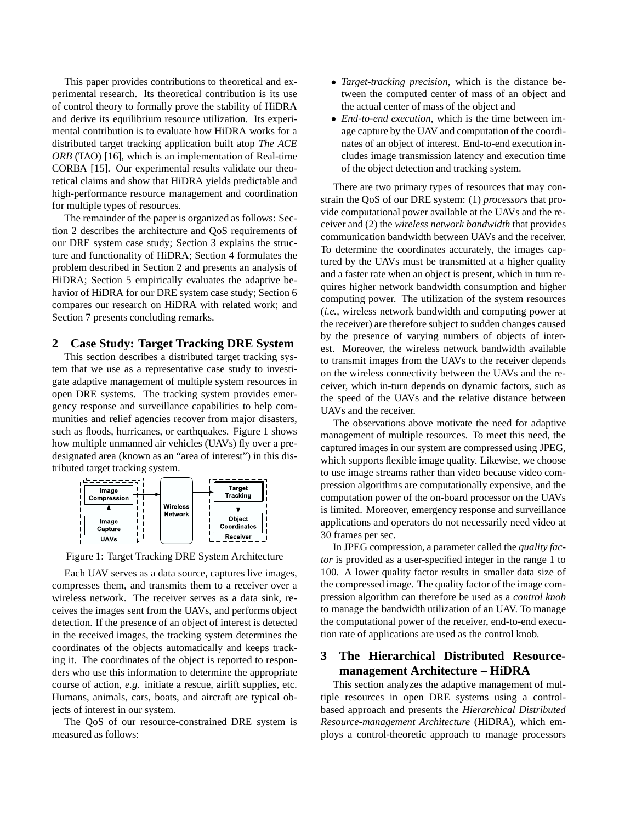This paper provides contributions to theoretical and experimental research. Its theoretical contribution is its use of control theory to formally prove the stability of HiDRA and derive its equilibrium resource utilization. Its experimental contribution is to evaluate how HiDRA works for a distributed target tracking application built atop *The ACE ORB* (TAO) [16], which is an implementation of Real-time CORBA [15]. Our experimental results validate our theoretical claims and show that HiDRA yields predictable and high-performance resource management and coordination for multiple types of resources.

The remainder of the paper is organized as follows: Section 2 describes the architecture and QoS requirements of our DRE system case study; Section 3 explains the structure and functionality of HiDRA; Section 4 formulates the problem described in Section 2 and presents an analysis of HiDRA; Section 5 empirically evaluates the adaptive behavior of HiDRA for our DRE system case study; Section 6 compares our research on HiDRA with related work; and Section 7 presents concluding remarks.

# **2 Case Study: Target Tracking DRE System**

This section describes a distributed target tracking system that we use as a representative case study to investigate adaptive management of multiple system resources in open DRE systems. The tracking system provides emergency response and surveillance capabilities to help communities and relief agencies recover from major disasters, such as floods, hurricanes, or earthquakes. Figure 1 shows how multiple unmanned air vehicles (UAVs) fly over a predesignated area (known as an "area of interest") in this distributed target tracking system.



Figure 1: Target Tracking DRE System Architecture

Each UAV serves as a data source, captures live images, compresses them, and transmits them to a receiver over a wireless network. The receiver serves as a data sink, receives the images sent from the UAVs, and performs object detection. If the presence of an object of interest is detected in the received images, the tracking system determines the coordinates of the objects automatically and keeps tracking it. The coordinates of the object is reported to responders who use this information to determine the appropriate course of action, *e.g.* initiate a rescue, airlift supplies, etc. Humans, animals, cars, boats, and aircraft are typical objects of interest in our system.

The QoS of our resource-constrained DRE system is measured as follows:

- *Target-tracking precision*, which is the distance between the computed center of mass of an object and the actual center of mass of the object and
- *End-to-end execution*, which is the time between image capture by the UAV and computation of the coordinates of an object of interest. End-to-end execution includes image transmission latency and execution time of the object detection and tracking system.

There are two primary types of resources that may constrain the QoS of our DRE system: (1) *processors* that provide computational power available at the UAVs and the receiver and (2) the *wireless network bandwidth* that provides communication bandwidth between UAVs and the receiver. To determine the coordinates accurately, the images captured by the UAVs must be transmitted at a higher quality and a faster rate when an object is present, which in turn requires higher network bandwidth consumption and higher computing power. The utilization of the system resources (*i.e.*, wireless network bandwidth and computing power at the receiver) are therefore subject to sudden changes caused by the presence of varying numbers of objects of interest. Moreover, the wireless network bandwidth available to transmit images from the UAVs to the receiver depends on the wireless connectivity between the UAVs and the receiver, which in-turn depends on dynamic factors, such as the speed of the UAVs and the relative distance between UAVs and the receiver.

The observations above motivate the need for adaptive management of multiple resources. To meet this need, the captured images in our system are compressed using JPEG, which supports flexible image quality. Likewise, we choose to use image streams rather than video because video compression algorithms are computationally expensive, and the computation power of the on-board processor on the UAVs is limited. Moreover, emergency response and surveillance applications and operators do not necessarily need video at 30 frames per sec.

In JPEG compression, a parameter called the *quality factor* is provided as a user-specified integer in the range 1 to 100. A lower quality factor results in smaller data size of the compressed image. The quality factor of the image compression algorithm can therefore be used as a *control knob* to manage the bandwidth utilization of an UAV. To manage the computational power of the receiver, end-to-end execution rate of applications are used as the control knob.

# **3 The Hierarchical Distributed Resourcemanagement Architecture – HiDRA**

This section analyzes the adaptive management of multiple resources in open DRE systems using a controlbased approach and presents the *Hierarchical Distributed Resource-management Architecture* (HiDRA), which employs a control-theoretic approach to manage processors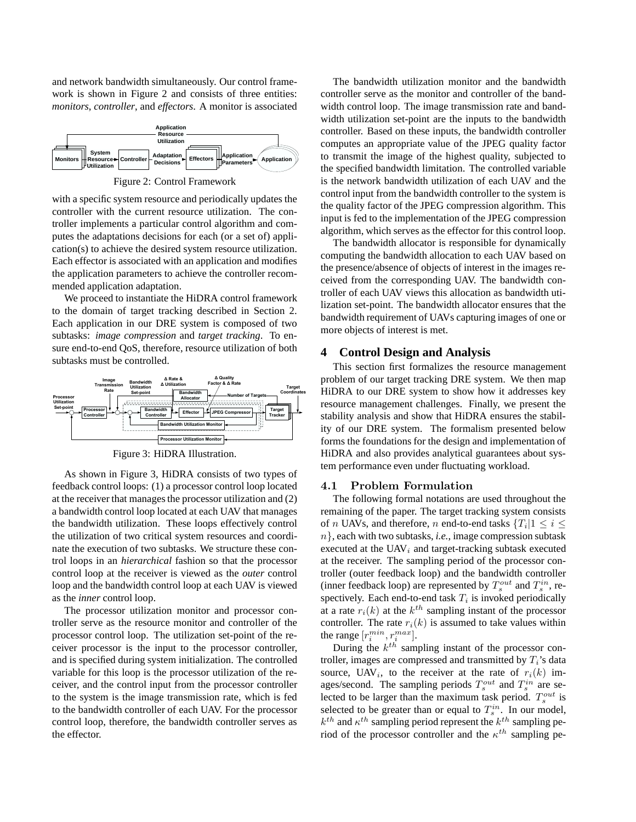and network bandwidth simultaneously. Our control framework is shown in Figure 2 and consists of three entities: *monitors*, *controller*, and *effectors*. A monitor is associated



Figure 2: Control Framework

with a specific system resource and periodically updates the controller with the current resource utilization. The controller implements a particular control algorithm and computes the adaptations decisions for each (or a set of) application(s) to achieve the desired system resource utilization. Each effector is associated with an application and modifies the application parameters to achieve the controller recommended application adaptation.

We proceed to instantiate the HiDRA control framework to the domain of target tracking described in Section 2. Each application in our DRE system is composed of two subtasks: *image compression* and *target tracking*. To ensure end-to-end QoS, therefore, resource utilization of both subtasks must be controlled.



Figure 3: HiDRA Illustration.

As shown in Figure 3, HiDRA consists of two types of feedback control loops: (1) a processor control loop located at the receiver that manages the processor utilization and (2) a bandwidth control loop located at each UAV that manages the bandwidth utilization. These loops effectively control the utilization of two critical system resources and coordinate the execution of two subtasks. We structure these control loops in an *hierarchical* fashion so that the processor control loop at the receiver is viewed as the *outer* control loop and the bandwidth control loop at each UAV is viewed as the *inner* control loop.

The processor utilization monitor and processor controller serve as the resource monitor and controller of the processor control loop. The utilization set-point of the receiver processor is the input to the processor controller, and is specified during system initialization. The controlled variable for this loop is the processor utilization of the receiver, and the control input from the processor controller to the system is the image transmission rate, which is fed to the bandwidth controller of each UAV. For the processor control loop, therefore, the bandwidth controller serves as the effector.

The bandwidth utilization monitor and the bandwidth controller serve as the monitor and controller of the bandwidth control loop. The image transmission rate and bandwidth utilization set-point are the inputs to the bandwidth controller. Based on these inputs, the bandwidth controller computes an appropriate value of the JPEG quality factor to transmit the image of the highest quality, subjected to the specified bandwidth limitation. The controlled variable is the network bandwidth utilization of each UAV and the control input from the bandwidth controller to the system is the quality factor of the JPEG compression algorithm. This input is fed to the implementation of the JPEG compression algorithm, which serves as the effector for this control loop.

The bandwidth allocator is responsible for dynamically computing the bandwidth allocation to each UAV based on the presence/absence of objects of interest in the images received from the corresponding UAV. The bandwidth controller of each UAV views this allocation as bandwidth utilization set-point. The bandwidth allocator ensures that the bandwidth requirement of UAVs capturing images of one or more objects of interest is met.

# **4 Control Design and Analysis**

This section first formalizes the resource management problem of our target tracking DRE system. We then map HiDRA to our DRE system to show how it addresses key resource management challenges. Finally, we present the stability analysis and show that HiDRA ensures the stability of our DRE system. The formalism presented below forms the foundations for the design and implementation of HiDRA and also provides analytical guarantees about system performance even under fluctuating workload.

#### 4.1 Problem Formulation

The following formal notations are used throughout the remaining of the paper. The target tracking system consists of *n* UAVs, and therefore, *n* end-to-end tasks  $\{T_i | 1 \leq i \leq n\}$ n}, each with two subtasks, *i.e.*, image compression subtask executed at the  $UAV_i$  and target-tracking subtask executed at the receiver. The sampling period of the processor controller (outer feedback loop) and the bandwidth controller (inner feedback loop) are represented by  $T_s^{out}$  and  $T_s^{in}$ , respectively. Each end-to-end task  $T_i$  is invoked periodically at a rate  $r_i(k)$  at the  $k^{th}$  sampling instant of the processor controller. The rate  $r_i(k)$  is assumed to take values within the range  $[r_i^{min}, r_i^{max}]$ .

During the  $k^{th}$  sampling instant of the processor controller, images are compressed and transmitted by  $T_i$ 's data source, UAV<sub>i</sub>, to the receiver at the rate of  $r_i(k)$  images/second. The sampling periods  $T_s^{out}$  and  $T_s^{in}$  are selected to be larger than the maximum task period.  $T_s^{out}$  is selected to be greater than or equal to  $T_s^{in}$ . In our model,  $k^{th}$  and  $\kappa^{th}$  sampling period represent the  $k^{th}$  sampling period of the processor controller and the  $\kappa^{th}$  sampling pe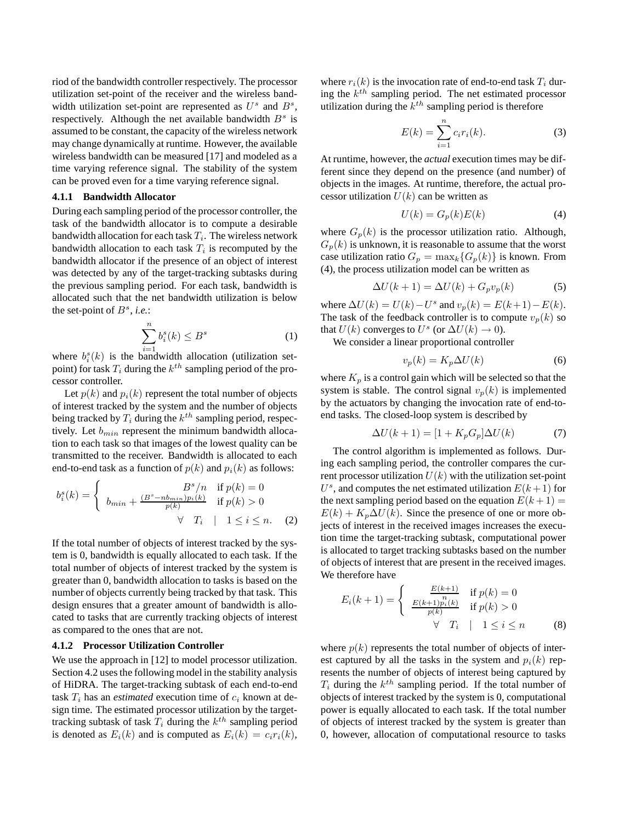riod of the bandwidth controller respectively. The processor utilization set-point of the receiver and the wireless bandwidth utilization set-point are represented as  $U^s$  and  $B^s$ , respectively. Although the net available bandwidth  $B<sup>s</sup>$  is assumed to be constant, the capacity of the wireless network may change dynamically at runtime. However, the available wireless bandwidth can be measured [17] and modeled as a time varying reference signal. The stability of the system can be proved even for a time varying reference signal.

#### **4.1.1 Bandwidth Allocator**

During each sampling period of the processor controller, the task of the bandwidth allocator is to compute a desirable bandwidth allocation for each task  $T_i$ . The wireless network bandwidth allocation to each task  $T_i$  is recomputed by the bandwidth allocator if the presence of an object of interest was detected by any of the target-tracking subtasks during the previous sampling period. For each task, bandwidth is allocated such that the net bandwidth utilization is below the set-point of  $B^s$ , *i.e.*:

$$
\sum_{i=1}^{n} b_i^s(k) \le B^s \tag{1}
$$

where  $b_i^s(k)$  is the bandwidth allocation (utilization setpoint) for task  $T_i$  during the  $k^{th}$  sampling period of the processor controller.

Let  $p(k)$  and  $p<sub>i</sub>(k)$  represent the total number of objects of interest tracked by the system and the number of objects being tracked by  $T_i$  during the  $k^{th}$  sampling period, respectively. Let  $b_{min}$  represent the minimum bandwidth allocation to each task so that images of the lowest quality can be transmitted to the receiver. Bandwidth is allocated to each end-to-end task as a function of  $p(k)$  and  $p<sub>i</sub>(k)$  as follows:

$$
b_i^s(k) = \begin{cases} B^s/n & \text{if } p(k) = 0\\ b_{\min} + \frac{(B^s - nb_{\min})p_i(k)}{p(k)} & \text{if } p(k) > 0 \end{cases}
$$
  

$$
\forall T_i \mid 1 \leq i \leq n. \quad (2)
$$

If the total number of objects of interest tracked by the system is 0, bandwidth is equally allocated to each task. If the total number of objects of interest tracked by the system is greater than 0, bandwidth allocation to tasks is based on the number of objects currently being tracked by that task. This design ensures that a greater amount of bandwidth is allocated to tasks that are currently tracking objects of interest as compared to the ones that are not.

#### **4.1.2 Processor Utilization Controller**

We use the approach in [12] to model processor utilization. Section 4.2 uses the following model in the stability analysis of HiDRA. The target-tracking subtask of each end-to-end task  $T_i$  has an *estimated* execution time of  $c_i$  known at design time. The estimated processor utilization by the targettracking subtask of task  $T_i$  during the  $k^{th}$  sampling period is denoted as  $E_i(k)$  and is computed as  $E_i(k) = c_i r_i(k)$ , where  $r_i(k)$  is the invocation rate of end-to-end task  $T_i$  during the  $k^{th}$  sampling period. The net estimated processor utilization during the  $k^{th}$  sampling period is therefore

$$
E(k) = \sum_{i=1}^{n} c_i r_i(k).
$$
 (3)

At runtime, however, the *actual* execution times may be different since they depend on the presence (and number) of objects in the images. At runtime, therefore, the actual processor utilization  $U(k)$  can be written as

$$
U(k) = G_p(k)E(k)
$$
 (4)

where  $G_p(k)$  is the processor utilization ratio. Although,  $G_p(k)$  is unknown, it is reasonable to assume that the worst case utilization ratio  $G_p = \max_k \{G_p(k)\}\$ is known. From (4), the process utilization model can be written as

$$
\Delta U(k+1) = \Delta U(k) + G_p v_p(k) \tag{5}
$$

where  $\Delta U(k) = U(k) - U^s$  and  $v_p(k) = E(k+1) - E(k)$ . The task of the feedback controller is to compute  $v_p(k)$  so that  $U(k)$  converges to  $U^s$  (or  $\Delta U(k) \rightarrow 0$ ).

We consider a linear proportional controller

$$
v_p(k) = K_p \Delta U(k)
$$
 (6)

where  $K_p$  is a control gain which will be selected so that the system is stable. The control signal  $v_p(k)$  is implemented by the actuators by changing the invocation rate of end-toend tasks. The closed-loop system is described by

$$
\Delta U(k+1) = [1 + K_p G_p] \Delta U(k) \tag{7}
$$

The control algorithm is implemented as follows. During each sampling period, the controller compares the current processor utilization  $U(k)$  with the utilization set-point  $U^s$ , and computes the net estimated utilization  $E(k+1)$  for the next sampling period based on the equation  $E(k+1) =$  $E(k) + K_p \Delta U(k)$ . Since the presence of one or more objects of interest in the received images increases the execution time the target-tracking subtask, computational power is allocated to target tracking subtasks based on the number of objects of interest that are present in the received images. We therefore have

$$
E_i(k+1) = \begin{cases} \frac{E(k+1)}{n} & \text{if } p(k) = 0\\ \frac{E(k+1)p_i(k)}{p(k)} & \text{if } p(k) > 0\\ \forall & T_i \mid 1 \le i \le n \end{cases}
$$
(8)

where  $p(k)$  represents the total number of objects of interest captured by all the tasks in the system and  $p_i(k)$  represents the number of objects of interest being captured by  $T_i$  during the  $k^{th}$  sampling period. If the total number of objects of interest tracked by the system is 0, computational power is equally allocated to each task. If the total number of objects of interest tracked by the system is greater than 0, however, allocation of computational resource to tasks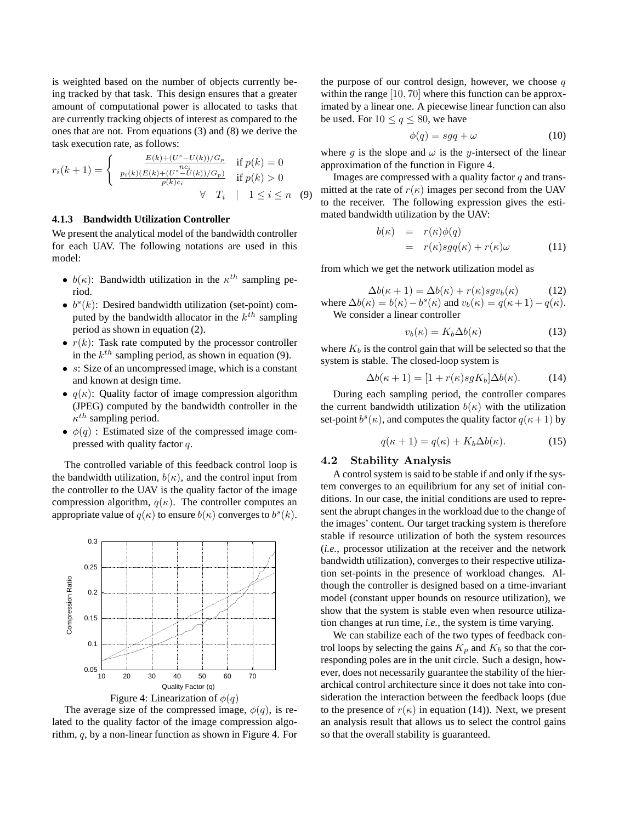is weighted based on the number of objects currently being tracked by that task. This design ensures that a greater amount of computational power is allocated to tasks that are currently tracking objects of interest as compared to the ones that are not. From equations (3) and (8) we derive the task execution rate, as follows:

$$
r_i(k+1) = \begin{cases} \frac{E(k) + (U^s - U(k))/G_p}{nc_i} & \text{if } p(k) = 0\\ \frac{p_i(k)(E(k) + (U^s - U(k))/G_p)}{p(k)c_i} & \text{if } p(k) > 0\\ \forall & T_i \ | \ 1 \le i \le n \end{cases}
$$
(9)

#### **4.1.3 Bandwidth Utilization Controller**

We present the analytical model of the bandwidth controller for each UAV. The following notations are used in this model:

- $b(\kappa)$ : Bandwidth utilization in the  $\kappa^{th}$  sampling period.
- $\bullet$   $b^{s}(k)$ : Desired bandwidth utilization (set-point) computed by the bandwidth allocator in the  $k^{th}$  sampling period as shown in equation (2).
- $r(k)$ : Task rate computed by the processor controller in the  $k^{th}$  sampling period, as shown in equation (9).
- $s$ : Size of an uncompressed image, which is a constant and known at design time.
- $q(\kappa)$ : Quality factor of image compression algorithm (JPEG) computed by the bandwidth controller in the  $\kappa^{th}$  sampling period.
- $\bullet$   $\phi(q)$ : Estimated size of the compressed image compressed with quality factor  $q$ .

The controlled variable of this feedback control loop is the bandwidth utilization,  $b(\kappa)$ , and the control input from the controller to the UAV is the quality factor of the image compression algorithm,  $q(\kappa)$ . The controller computes an appropriate value of  $q(\kappa)$  to ensure  $b(\kappa)$  converges to  $b^{s}(k)$ .



Figure 4: Linearization of  $\phi(q)$ 

The average size of the compressed image,  $\phi(q)$ , is related to the quality factor of the image compression algorithm,  $q$ , by a non-linear function as shown in Figure 4. For

the purpose of our control design, however, we choose  $q$ within the range [10, 70] where this function can be approximated by a linear one. A piecewise linear function can also be used. For  $10 \le q \le 80$ , we have

$$
\phi(q) = s g q + \omega \tag{10}
$$

where g is the slope and  $\omega$  is the y-intersect of the linear approximation of the function in Figure 4.

Images are compressed with a quality factor  $q$  and transmitted at the rate of  $r(\kappa)$  images per second from the UAV to the receiver. The following expression gives the estimated bandwidth utilization by the UAV:

$$
b(\kappa) = r(\kappa)\phi(q)
$$
  
=  $r(\kappa)sgq(\kappa) + r(\kappa)\omega$  (11)

from which we get the network utilization model as

 $\Delta b(\kappa + 1) = \Delta b(\kappa) + r(\kappa)sgv_b(\kappa)$  (12) where  $\Delta b(\kappa) = b(\kappa) - b^s(\kappa)$  and  $v_b(\kappa) = q(\kappa + 1) - q(\kappa)$ . We consider a linear controller

$$
v_b(\kappa) = K_b \Delta b(\kappa) \tag{13}
$$

where  $K_b$  is the control gain that will be selected so that the system is stable. The closed-loop system is

$$
\Delta b(\kappa + 1) = [1 + r(\kappa)s g K_b] \Delta b(\kappa). \tag{14}
$$

During each sampling period, the controller compares the current bandwidth utilization  $b(\kappa)$  with the utilization set-point  $b^{s}(\kappa)$ , and computes the quality factor  $q(\kappa+1)$  by

$$
q(\kappa + 1) = q(\kappa) + K_b \Delta b(\kappa). \tag{15}
$$

## 4.2 Stability Analysis

A control system is said to be stable if and only if the system converges to an equilibrium for any set of initial conditions. In our case, the initial conditions are used to represent the abrupt changes in the workload due to the change of the images' content. Our target tracking system is therefore stable if resource utilization of both the system resources (*i.e.*, processor utilization at the receiver and the network bandwidth utilization), converges to their respective utilization set-points in the presence of workload changes. Although the controller is designed based on a time-invariant model (constant upper bounds on resource utilization), we show that the system is stable even when resource utilization changes at run time, *i.e.*, the system is time varying.

We can stabilize each of the two types of feedback control loops by selecting the gains  $K_p$  and  $K_b$  so that the corresponding poles are in the unit circle. Such a design, however, does not necessarily guarantee the stability of the hierarchical control architecture since it does not take into consideration the interaction between the feedback loops (due to the presence of  $r(\kappa)$  in equation (14)). Next, we present an analysis result that allows us to select the control gains so that the overall stability is guaranteed.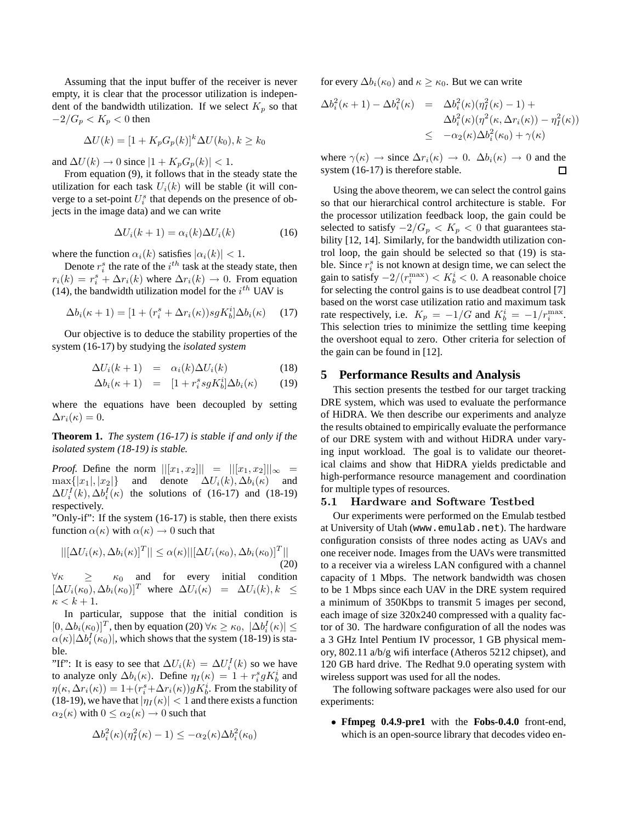Assuming that the input buffer of the receiver is never empty, it is clear that the processor utilization is independent of the bandwidth utilization. If we select  $K_p$  so that  $-\frac{2}{G_p}$  <  $K_p$  < 0 then

$$
\Delta U(k) = [1 + K_p G_p(k)]^k \Delta U(k_0), k \ge k_0
$$

and  $\Delta U(k) \rightarrow 0$  since  $|1 + K_p G_p(k)| < 1$ .

From equation (9), it follows that in the steady state the utilization for each task  $U_i(k)$  will be stable (it will converge to a set-point  $U_i^s$  that depends on the presence of objects in the image data) and we can write

$$
\Delta U_i(k+1) = \alpha_i(k)\Delta U_i(k) \tag{16}
$$

where the function  $\alpha_i(k)$  satisfies  $|\alpha_i(k)| < 1$ .

Denote  $r_i^s$  the rate of the  $i^{th}$  task at the steady state, then  $r_i(k) = r_i^s + \Delta r_i(k)$  where  $\Delta r_i(k) \rightarrow 0$ . From equation (14), the bandwidth utilization model for the  $i^{th}$  UAV is

$$
\Delta b_i(\kappa + 1) = [1 + (r_i^s + \Delta r_i(\kappa))sgK_b^i]\Delta b_i(\kappa) \quad (17)
$$

Our objective is to deduce the stability properties of the system (16-17) by studying the *isolated system*

$$
\Delta U_i(k+1) = \alpha_i(k)\Delta U_i(k) \tag{18}
$$

$$
\Delta b_i(\kappa + 1) = [1 + r_i^s s g K_b^i] \Delta b_i(\kappa) \tag{19}
$$

where the equations have been decoupled by setting  $\Delta r_i(\kappa) = 0.$ 

**Theorem 1.** *The system (16-17) is stable if and only if the isolated system (18-19) is stable.*

*Proof.* Define the norm  $||[x_1, x_2]|| = ||[x_1, x_2]||_{\infty}$  $\max\{|x_1|, |x_2|\}$  and denote  $\Delta U_i(k), \Delta b_i(\kappa)$  and  $\Delta U_i^I(k), \Delta b_i^I(\kappa)$  the solutions of (16-17) and (18-19) respectively.

"Only-if": If the system (16-17) is stable, then there exists function  $\alpha(\kappa)$  with  $\alpha(\kappa) \to 0$  such that

$$
||[\Delta U_i(\kappa), \Delta b_i(\kappa)]^T|| \leq \alpha(\kappa) ||[\Delta U_i(\kappa_0), \Delta b_i(\kappa_0)]^T||
$$
\n(20)

 $\forall \kappa$   $\geq$   $\kappa_0$  and for every initial condition  $[\Delta U_i(\kappa_0), \Delta b_i(\kappa_0)]^T$  where  $\Delta U_i(\kappa) = \Delta U_i(k), k \leq$  $\kappa < k + 1$ .

In particular, suppose that the initial condition is  $[0, \Delta b_i(\kappa_0)]^T$ , then by equation (20)  $\forall \kappa \ge \kappa_0$ ,  $|\Delta b_i^I(\kappa)| \le$  $\alpha(\kappa)|\Delta b_i^I(\kappa_0)|$ , which shows that the system (18-19) is stable.

"If": It is easy to see that  $\Delta U_i(k) = \Delta U_i^I(k)$  so we have to analyze only  $\Delta b_i(\kappa)$ . Define  $\eta_I(\kappa) = 1 + r_i^s g K_b^i$  and  $\eta(\kappa, \Delta r_i(\kappa)) = 1 + (r_i^s + \Delta r_i(\kappa)) g K_b^i$ . From the stability of (18-19), we have that  $|\eta_I(\kappa)| < 1$  and there exists a function  $\alpha_2(\kappa)$  with  $0 \leq \alpha_2(\kappa) \to 0$  such that

$$
\Delta b_i^2(\kappa)(\eta_I^2(\kappa) - 1) \le -\alpha_2(\kappa)\Delta b_i^2(\kappa_0)
$$

for every  $\Delta b_i(\kappa_0)$  and  $\kappa \geq \kappa_0$ . But we can write

$$
\Delta b_i^2(\kappa + 1) - \Delta b_i^2(\kappa) = \Delta b_i^2(\kappa) (\eta_I^2(\kappa) - 1) +
$$
  

$$
\Delta b_i^2(\kappa) (\eta^2(\kappa, \Delta r_i(\kappa)) - \eta_I^2(\kappa))
$$
  

$$
\leq -\alpha_2(\kappa) \Delta b_i^2(\kappa_0) + \gamma(\kappa)
$$

where  $\gamma(\kappa) \to \text{since }\Delta r_i(\kappa) \to 0$ .  $\Delta b_i(\kappa) \to 0$  and the system (16-17) is therefore stable. 口

Using the above theorem, we can select the control gains so that our hierarchical control architecture is stable. For the processor utilization feedback loop, the gain could be selected to satisfy  $-2/G_p < K_p < 0$  that guarantees stability [12, 14]. Similarly, for the bandwidth utilization control loop, the gain should be selected so that (19) is stable. Since  $r_i^s$  is not known at design time, we can select the gain to satisfy  $-2/(r_i^{\text{max}}) < K_b^i < 0$ . A reasonable choice for selecting the control gains is to use deadbeat control [7] based on the worst case utilization ratio and maximum task rate respectively, i.e.  $K_p = -1/G$  and  $K_b^i = -1/r_i^{\max}$ . This selection tries to minimize the settling time keeping the overshoot equal to zero. Other criteria for selection of the gain can be found in [12].

### **5 Performance Results and Analysis**

This section presents the testbed for our target tracking DRE system, which was used to evaluate the performance of HiDRA. We then describe our experiments and analyze the results obtained to empirically evaluate the performance of our DRE system with and without HiDRA under varying input workload. The goal is to validate our theoretical claims and show that HiDRA yields predictable and high-performance resource management and coordination for multiple types of resources.

## 5.1 Hardware and Software Testbed

Our experiments were performed on the Emulab testbed at University of Utah (www.emulab.net). The hardware configuration consists of three nodes acting as UAVs and one receiver node. Images from the UAVs were transmitted to a receiver via a wireless LAN configured with a channel capacity of 1 Mbps. The network bandwidth was chosen to be 1 Mbps since each UAV in the DRE system required a minimum of 350Kbps to transmit 5 images per second, each image of size 320x240 compressed with a quality factor of 30. The hardware configuration of all the nodes was a 3 GHz Intel Pentium IV processor, 1 GB physical memory, 802.11 a/b/g wifi interface (Atheros 5212 chipset), and 120 GB hard drive. The Redhat 9.0 operating system with wireless support was used for all the nodes.

The following software packages were also used for our experiments:

• **Ffmpeg 0.4.9-pre1** with the **Fobs-0.4.0** front-end, which is an open-source library that decodes video en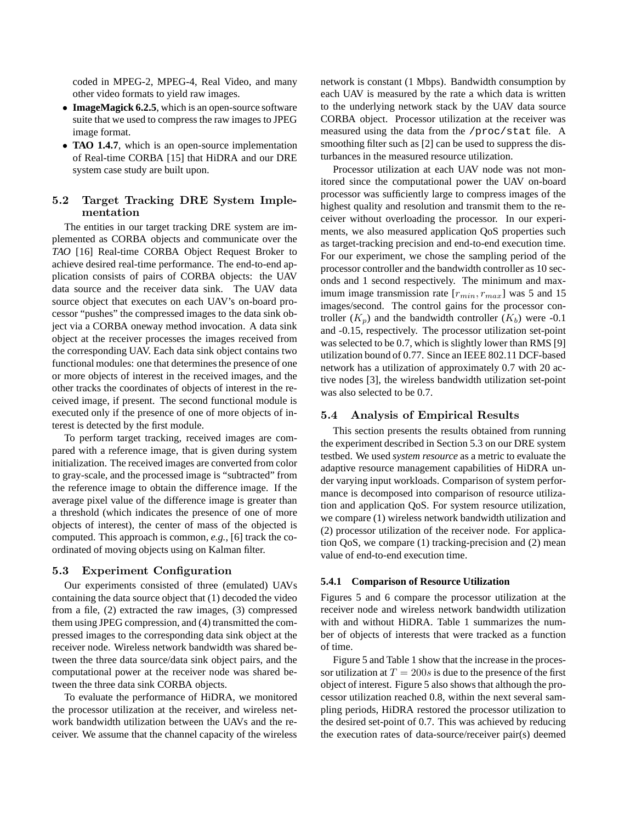coded in MPEG-2, MPEG-4, Real Video, and many other video formats to yield raw images.

- **ImageMagick 6.2.5**, which is an open-source software suite that we used to compress the raw images to JPEG image format.
- **TAO 1.4.7**, which is an open-source implementation of Real-time CORBA [15] that HiDRA and our DRE system case study are built upon.

# 5.2 Target Tracking DRE System Implementation

The entities in our target tracking DRE system are implemented as CORBA objects and communicate over the *TAO* [16] Real-time CORBA Object Request Broker to achieve desired real-time performance. The end-to-end application consists of pairs of CORBA objects: the UAV data source and the receiver data sink. The UAV data source object that executes on each UAV's on-board processor "pushes" the compressed images to the data sink object via a CORBA oneway method invocation. A data sink object at the receiver processes the images received from the corresponding UAV. Each data sink object contains two functional modules: one that determines the presence of one or more objects of interest in the received images, and the other tracks the coordinates of objects of interest in the received image, if present. The second functional module is executed only if the presence of one of more objects of interest is detected by the first module.

To perform target tracking, received images are compared with a reference image, that is given during system initialization. The received images are converted from color to gray-scale, and the processed image is "subtracted" from the reference image to obtain the difference image. If the average pixel value of the difference image is greater than a threshold (which indicates the presence of one of more objects of interest), the center of mass of the objected is computed. This approach is common, *e.g.*, [6] track the coordinated of moving objects using on Kalman filter.

### 5.3 Experiment Configuration

Our experiments consisted of three (emulated) UAVs containing the data source object that (1) decoded the video from a file, (2) extracted the raw images, (3) compressed them using JPEG compression, and (4) transmitted the compressed images to the corresponding data sink object at the receiver node. Wireless network bandwidth was shared between the three data source/data sink object pairs, and the computational power at the receiver node was shared between the three data sink CORBA objects.

To evaluate the performance of HiDRA, we monitored the processor utilization at the receiver, and wireless network bandwidth utilization between the UAVs and the receiver. We assume that the channel capacity of the wireless

network is constant (1 Mbps). Bandwidth consumption by each UAV is measured by the rate a which data is written to the underlying network stack by the UAV data source CORBA object. Processor utilization at the receiver was measured using the data from the /proc/stat file. A smoothing filter such as [2] can be used to suppress the disturbances in the measured resource utilization.

Processor utilization at each UAV node was not monitored since the computational power the UAV on-board processor was sufficiently large to compress images of the highest quality and resolution and transmit them to the receiver without overloading the processor. In our experiments, we also measured application QoS properties such as target-tracking precision and end-to-end execution time. For our experiment, we chose the sampling period of the processor controller and the bandwidth controller as 10 seconds and 1 second respectively. The minimum and maximum image transmission rate  $[r_{min}, r_{max}]$  was 5 and 15 images/second. The control gains for the processor controller  $(K_p)$  and the bandwidth controller  $(K_b)$  were -0.1 and -0.15, respectively. The processor utilization set-point was selected to be 0.7, which is slightly lower than RMS [9] utilization bound of 0.77. Since an IEEE 802.11 DCF-based network has a utilization of approximately 0.7 with 20 active nodes [3], the wireless bandwidth utilization set-point was also selected to be 0.7.

#### 5.4 Analysis of Empirical Results

This section presents the results obtained from running the experiment described in Section 5.3 on our DRE system testbed. We used *system resource* as a metric to evaluate the adaptive resource management capabilities of HiDRA under varying input workloads. Comparison of system performance is decomposed into comparison of resource utilization and application QoS. For system resource utilization, we compare (1) wireless network bandwidth utilization and (2) processor utilization of the receiver node. For application QoS, we compare (1) tracking-precision and (2) mean value of end-to-end execution time.

#### **5.4.1 Comparison of Resource Utilization**

Figures 5 and 6 compare the processor utilization at the receiver node and wireless network bandwidth utilization with and without HiDRA. Table 1 summarizes the number of objects of interests that were tracked as a function of time.

Figure 5 and Table 1 show that the increase in the processor utilization at  $T = 200s$  is due to the presence of the first object of interest. Figure 5 also shows that although the processor utilization reached 0.8, within the next several sampling periods, HiDRA restored the processor utilization to the desired set-point of 0.7. This was achieved by reducing the execution rates of data-source/receiver pair(s) deemed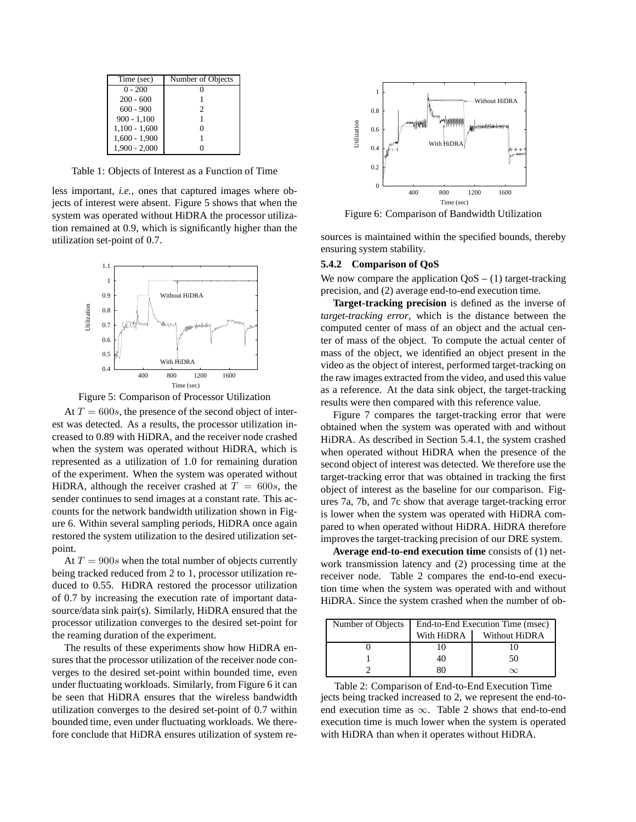| Time (sec)      | Number of Objects |
|-----------------|-------------------|
| $0 - 200$       |                   |
| $200 - 600$     |                   |
| $600 - 900$     | 2                 |
| $900 - 1,100$   |                   |
| $1,100 - 1,600$ | $\mathbf{I}$      |
| $1,600 - 1,900$ |                   |
| $1,900 - 2,000$ |                   |

Table 1: Objects of Interest as a Function of Time

less important, *i.e.*, ones that captured images where objects of interest were absent. Figure 5 shows that when the system was operated without HiDRA the processor utilization remained at 0.9, which is significantly higher than the utilization set-point of 0.7.



Figure 5: Comparison of Processor Utilization

At  $T = 600s$ , the presence of the second object of interest was detected. As a results, the processor utilization increased to 0.89 with HiDRA, and the receiver node crashed when the system was operated without HiDRA, which is represented as a utilization of 1.0 for remaining duration of the experiment. When the system was operated without HiDRA, although the receiver crashed at  $T = 600s$ , the sender continues to send images at a constant rate. This accounts for the network bandwidth utilization shown in Figure 6. Within several sampling periods, HiDRA once again restored the system utilization to the desired utilization setpoint.

At  $T = 900s$  when the total number of objects currently being tracked reduced from 2 to 1, processor utilization reduced to 0.55. HiDRA restored the processor utilization of 0.7 by increasing the execution rate of important datasource/data sink pair(s). Similarly, HiDRA ensured that the processor utilization converges to the desired set-point for the reaming duration of the experiment.

The results of these experiments show how HiDRA ensures that the processor utilization of the receiver node converges to the desired set-point within bounded time, even under fluctuating workloads. Similarly, from Figure 6 it can be seen that HiDRA ensures that the wireless bandwidth utilization converges to the desired set-point of 0.7 within bounded time, even under fluctuating workloads. We therefore conclude that HiDRA ensures utilization of system re-



Figure 6: Comparison of Bandwidth Utilization

sources is maintained within the specified bounds, thereby ensuring system stability.

#### **5.4.2 Comparison of QoS**

We now compare the application  $QoS - (1)$  target-tracking precision, and (2) average end-to-end execution time.

**Target-tracking precision** is defined as the inverse of *target-tracking error*, which is the distance between the computed center of mass of an object and the actual center of mass of the object. To compute the actual center of mass of the object, we identified an object present in the video as the object of interest, performed target-tracking on the raw images extracted from the video, and used this value as a reference. At the data sink object, the target-tracking results were then compared with this reference value.

Figure 7 compares the target-tracking error that were obtained when the system was operated with and without HiDRA. As described in Section 5.4.1, the system crashed when operated without HiDRA when the presence of the second object of interest was detected. We therefore use the target-tracking error that was obtained in tracking the first object of interest as the baseline for our comparison. Figures 7a, 7b, and 7c show that average target-tracking error is lower when the system was operated with HiDRA compared to when operated without HiDRA. HiDRA therefore improves the target-tracking precision of our DRE system.

**Average end-to-end execution time** consists of (1) network transmission latency and (2) processing time at the receiver node. Table 2 compares the end-to-end execution time when the system was operated with and without HiDRA. Since the system crashed when the number of ob-

| Number of Objects | End-to-End Execution Time (msec) |               |
|-------------------|----------------------------------|---------------|
|                   | With HiDRA                       | Without HiDRA |
|                   |                                  |               |
|                   |                                  | 50            |
|                   |                                  |               |

Table 2: Comparison of End-to-End Execution Time jects being tracked increased to 2, we represent the end-toend execution time as  $\infty$ . Table 2 shows that end-to-end execution time is much lower when the system is operated with HiDRA than when it operates without HiDRA.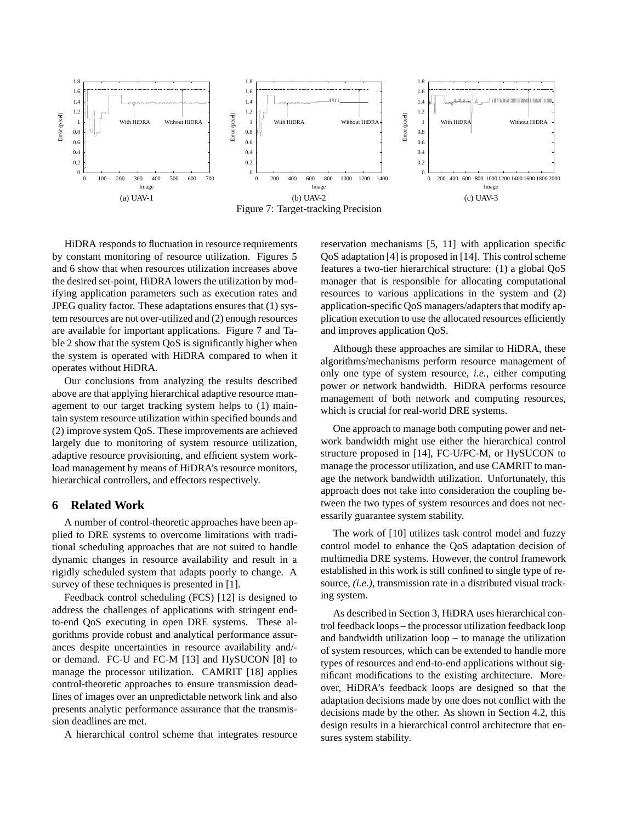

HiDRA responds to fluctuation in resource requirements by constant monitoring of resource utilization. Figures 5 and 6 show that when resources utilization increases above the desired set-point, HiDRA lowers the utilization by modifying application parameters such as execution rates and JPEG quality factor. These adaptations ensures that (1) system resources are not over-utilized and (2) enough resources are available for important applications. Figure 7 and Table 2 show that the system QoS is significantly higher when the system is operated with HiDRA compared to when it operates without HiDRA.

Our conclusions from analyzing the results described above are that applying hierarchical adaptive resource management to our target tracking system helps to (1) maintain system resource utilization within specified bounds and (2) improve system QoS. These improvements are achieved largely due to monitoring of system resource utilization, adaptive resource provisioning, and efficient system workload management by means of HiDRA's resource monitors, hierarchical controllers, and effectors respectively.

# **6 Related Work**

A number of control-theoretic approaches have been applied to DRE systems to overcome limitations with traditional scheduling approaches that are not suited to handle dynamic changes in resource availability and result in a rigidly scheduled system that adapts poorly to change. A survey of these techniques is presented in [1].

Feedback control scheduling (FCS) [12] is designed to address the challenges of applications with stringent endto-end QoS executing in open DRE systems. These algorithms provide robust and analytical performance assurances despite uncertainties in resource availability and/ or demand. FC-U and FC-M [13] and HySUCON [8] to manage the processor utilization. CAMRIT [18] applies control-theoretic approaches to ensure transmission deadlines of images over an unpredictable network link and also presents analytic performance assurance that the transmission deadlines are met.

A hierarchical control scheme that integrates resource

reservation mechanisms [5, 11] with application specific QoS adaptation [4] is proposed in [14]. This control scheme features a two-tier hierarchical structure: (1) a global QoS manager that is responsible for allocating computational resources to various applications in the system and (2) application-specific QoS managers/adapters that modify application execution to use the allocated resources efficiently and improves application QoS.

Although these approaches are similar to HiDRA, these algorithms/mechanisms perform resource management of only one type of system resource, *i.e.*, either computing power *or* network bandwidth. HiDRA performs resource management of both network and computing resources, which is crucial for real-world DRE systems.

One approach to manage both computing power and network bandwidth might use either the hierarchical control structure proposed in [14], FC-U/FC-M, or HySUCON to manage the processor utilization, and use CAMRIT to manage the network bandwidth utilization. Unfortunately, this approach does not take into consideration the coupling between the two types of system resources and does not necessarily guarantee system stability.

The work of [10] utilizes task control model and fuzzy control model to enhance the QoS adaptation decision of multimedia DRE systems. However, the control framework established in this work is still confined to single type of resource, *(i.e.)*, transmission rate in a distributed visual tracking system.

As described in Section 3, HiDRA uses hierarchical control feedback loops – the processor utilization feedback loop and bandwidth utilization loop – to manage the utilization of system resources, which can be extended to handle more types of resources and end-to-end applications without significant modifications to the existing architecture. Moreover, HiDRA's feedback loops are designed so that the adaptation decisions made by one does not conflict with the decisions made by the other. As shown in Section 4.2, this design results in a hierarchical control architecture that ensures system stability.